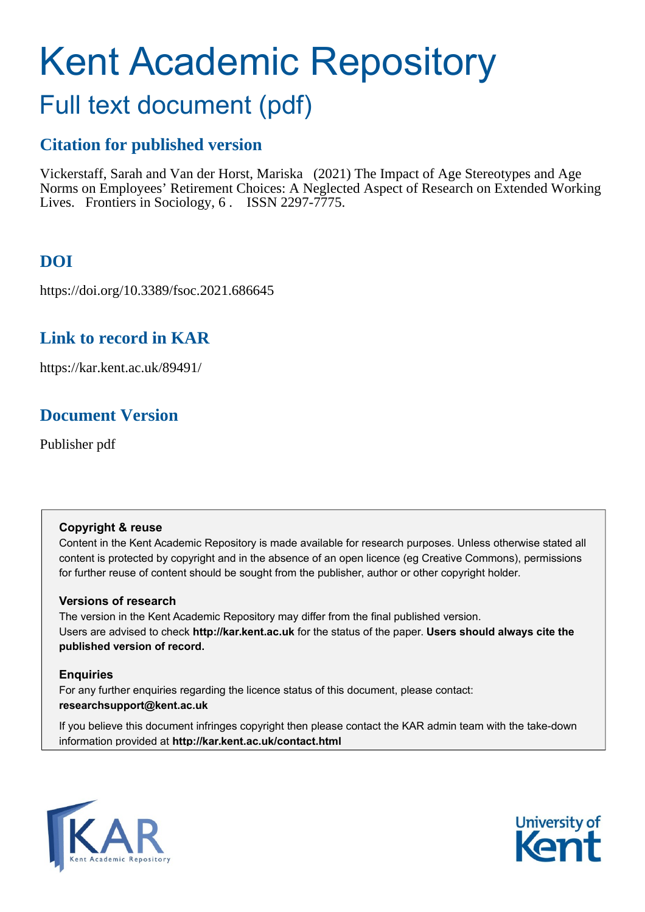# Kent Academic Repository

# Full text document (pdf)

# **Citation for published version**

Vickerstaff, Sarah and Van der Horst, Mariska (2021) The Impact of Age Stereotypes and Age Norms on Employees' Retirement Choices: A Neglected Aspect of Research on Extended Working Lives. Frontiers in Sociology, 6. ISSN 2297-7775.

# **DOI**

https://doi.org/10.3389/fsoc.2021.686645

# **Link to record in KAR**

https://kar.kent.ac.uk/89491/

# **Document Version**

Publisher pdf

#### **Copyright & reuse**

Content in the Kent Academic Repository is made available for research purposes. Unless otherwise stated all content is protected by copyright and in the absence of an open licence (eg Creative Commons), permissions for further reuse of content should be sought from the publisher, author or other copyright holder.

#### **Versions of research**

The version in the Kent Academic Repository may differ from the final published version. Users are advised to check **http://kar.kent.ac.uk** for the status of the paper. **Users should always cite the published version of record.**

#### **Enquiries**

For any further enquiries regarding the licence status of this document, please contact: **researchsupport@kent.ac.uk**

If you believe this document infringes copyright then please contact the KAR admin team with the take-down information provided at **http://kar.kent.ac.uk/contact.html**



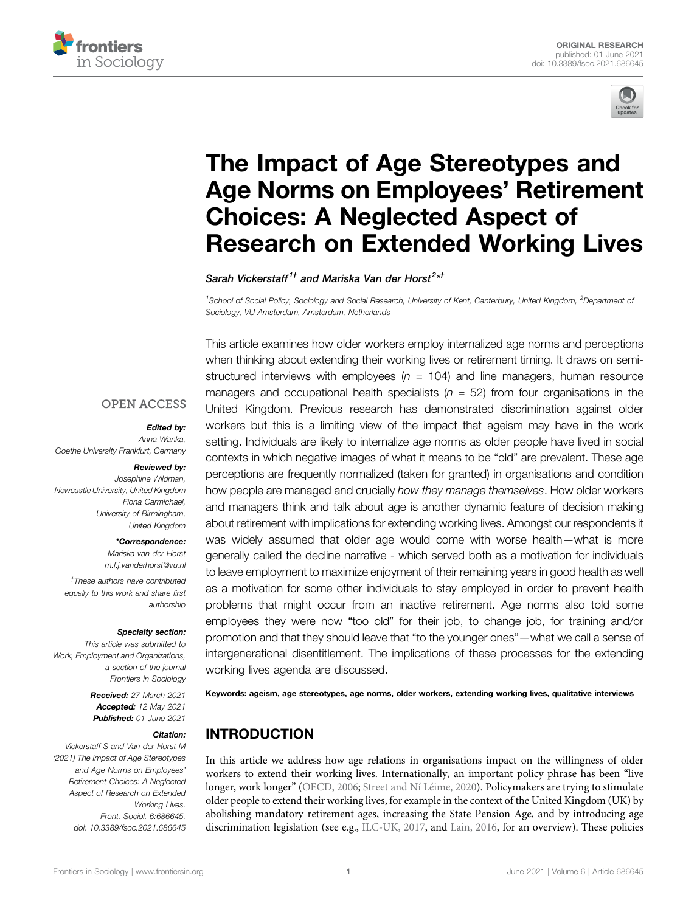



# [The Impact of Age Stereotypes and](https://www.frontiersin.org/articles/10.3389/fsoc.2021.686645/full) [Age Norms on Employees](https://www.frontiersin.org/articles/10.3389/fsoc.2021.686645/full)' Retirement [Choices: A Neglected Aspect of](https://www.frontiersin.org/articles/10.3389/fsoc.2021.686645/full) [Research on Extended Working Lives](https://www.frontiersin.org/articles/10.3389/fsoc.2021.686645/full)

Sarah Vickerstaff $^{1\dagger}$  and Mariska Van der Horst $^{2*\dagger}$ 

<sup>1</sup>School of Social Policy, Sociology and Social Research, University of Kent, Canterbury, United Kingdom, <sup>2</sup>Department oi Sociology, VU Amsterdam, Amsterdam, Netherlands

This article examines how older workers employ internalized age norms and perceptions

#### **OPEN ACCESS**

#### Edited by:

Anna Wanka, Goethe University Frankfurt, Germany

#### Reviewed by:

Josephine Wildman, Newcastle University, United Kingdom Fiona Carmichael, University of Birmingham, United Kingdom

#### \*Correspondence:

Mariska van der Horst [m.f.j.vanderhorst@vu.nl](mailto:m.f.j.vanderhorst@vu.nl) † These authors have contributed equally to this work and share first authorship

#### Specialty section:

This article was submitted to Work, Employment and Organizations, a section of the journal Frontiers in Sociology

> Received: 27 March 2021 Accepted: 12 May 2021 Published: 01 June 2021

#### Citation:

Vickerstaff S and Van der Horst M (2021) The Impact of Age Stereotypes and Age Norms on Employees' Retirement Choices: A Neglected Aspect of Research on Extended Working Lives. Front. Sociol. 6:686645. doi: [10.3389/fsoc.2021.686645](https://doi.org/10.3389/fsoc.2021.686645)

when thinking about extending their working lives or retirement timing. It draws on semistructured interviews with employees  $(n = 104)$  and line managers, human resource managers and occupational health specialists ( $n = 52$ ) from four organisations in the United Kingdom. Previous research has demonstrated discrimination against older workers but this is a limiting view of the impact that ageism may have in the work setting. Individuals are likely to internalize age norms as older people have lived in social contexts in which negative images of what it means to be "old" are prevalent. These age perceptions are frequently normalized (taken for granted) in organisations and condition how people are managed and crucially how they manage themselves. How older workers and managers think and talk about age is another dynamic feature of decision making about retirement with implications for extending working lives. Amongst our respondents it was widely assumed that older age would come with worse health—what is more generally called the decline narrative - which served both as a motivation for individuals to leave employment to maximize enjoyment of their remaining years in good health as well as a motivation for some other individuals to stay employed in order to prevent health problems that might occur from an inactive retirement. Age norms also told some employees they were now "too old" for their job, to change job, for training and/or promotion and that they should leave that "to the younger ones"—what we call a sense of intergenerational disentitlement. The implications of these processes for the extending working lives agenda are discussed.

Keywords: ageism, age stereotypes, age norms, older workers, extending working lives, qualitative interviews

#### INTRODUCTION

In this article we address how age relations in organisations impact on the willingness of older workers to extend their working lives. Internationally, an important policy phrase has been "live longer, work longer" (OECD, 2006; Street and Ní Léime, 2020). Policymakers are trying to stimulate older people to extend their working lives, for example in the context of the United Kingdom (UK) by abolishing mandatory retirement ages, increasing the State Pension Age, and by introducing age discrimination legislation (see e.g., ILC-UK, 2017, and Lain, 2016, for an overview). These policies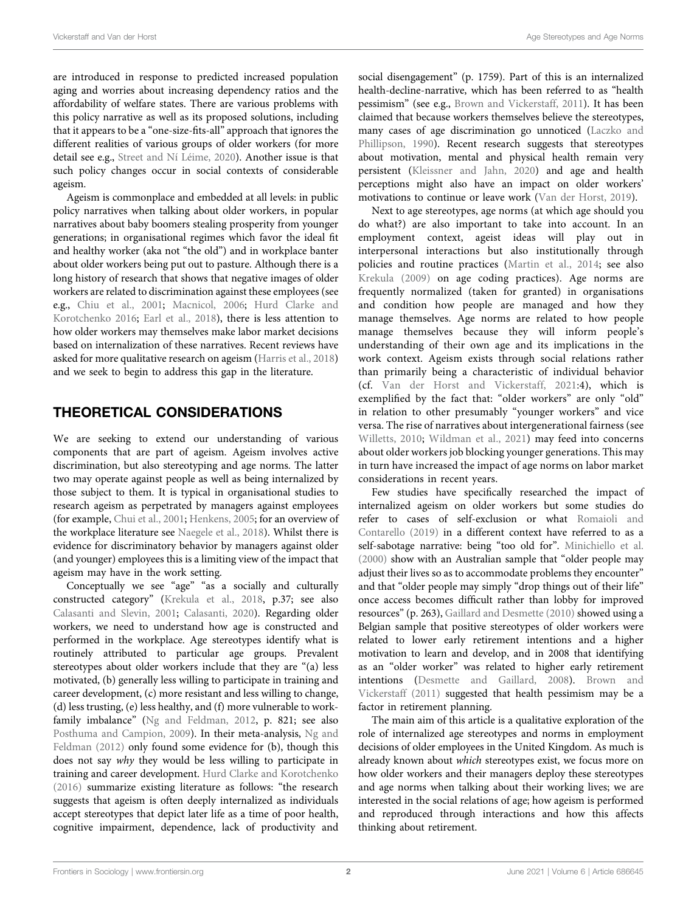are introduced in response to predicted increased population aging and worries about increasing dependency ratios and the affordability of welfare states. There are various problems with this policy narrative as well as its proposed solutions, including that it appears to be a "one-size-fits-all" approach that ignores the different realities of various groups of older workers (for more detail see e.g., Street and Ní Léime, 2020). Another issue is that such policy changes occur in social contexts of considerable ageism.

Ageism is commonplace and embedded at all levels: in public policy narratives when talking about older workers, in popular narratives about baby boomers stealing prosperity from younger generations; in organisational regimes which favor the ideal fit and healthy worker (aka not "the old") and in workplace banter about older workers being put out to pasture. Although there is a long history of research that shows that negative images of older workers are related to discrimination against these employees (see e.g., Chiu et al., 2001; Macnicol, 2006; Hurd Clarke and Korotchenko 2016; Earl et al., 2018), there is less attention to how older workers may themselves make labor market decisions based on internalization of these narratives. Recent reviews have asked for more qualitative research on ageism (Harris et al., 2018) and we seek to begin to address this gap in the literature.

## THEORETICAL CONSIDERATIONS

We are seeking to extend our understanding of various components that are part of ageism. Ageism involves active discrimination, but also stereotyping and age norms. The latter two may operate against people as well as being internalized by those subject to them. It is typical in organisational studies to research ageism as perpetrated by managers against employees (for example, Chui et al., 2001; Henkens, 2005; for an overview of the workplace literature see Naegele et al., 2018). Whilst there is evidence for discriminatory behavior by managers against older (and younger) employees this is a limiting view of the impact that ageism may have in the work setting.

Conceptually we see "age" "as a socially and culturally constructed category" (Krekula et al., 2018, p.37; see also Calasanti and Slevin, 2001; Calasanti, 2020). Regarding older workers, we need to understand how age is constructed and performed in the workplace. Age stereotypes identify what is routinely attributed to particular age groups. Prevalent stereotypes about older workers include that they are "(a) less motivated, (b) generally less willing to participate in training and career development, (c) more resistant and less willing to change, (d) less trusting, (e) less healthy, and (f) more vulnerable to workfamily imbalance" (Ng and Feldman, 2012, p. 821; see also Posthuma and Campion, 2009). In their meta-analysis, Ng and Feldman (2012) only found some evidence for (b), though this does not say why they would be less willing to participate in training and career development. Hurd Clarke and Korotchenko (2016) summarize existing literature as follows: "the research suggests that ageism is often deeply internalized as individuals accept stereotypes that depict later life as a time of poor health, cognitive impairment, dependence, lack of productivity and

social disengagement" (p. 1759). Part of this is an internalized health-decline-narrative, which has been referred to as "health pessimism" (see e.g., Brown and Vickerstaff, 2011). It has been claimed that because workers themselves believe the stereotypes, many cases of age discrimination go unnoticed (Laczko and Phillipson, 1990). Recent research suggests that stereotypes about motivation, mental and physical health remain very persistent (Kleissner and Jahn, 2020) and age and health perceptions might also have an impact on older workers' motivations to continue or leave work (Van der Horst, 2019).

Next to age stereotypes, age norms (at which age should you do what?) are also important to take into account. In an employment context, ageist ideas will play out in interpersonal interactions but also institutionally through policies and routine practices (Martin et al., 2014; see also Krekula (2009) on age coding practices). Age norms are frequently normalized (taken for granted) in organisations and condition how people are managed and how they manage themselves. Age norms are related to how people manage themselves because they will inform people's understanding of their own age and its implications in the work context. Ageism exists through social relations rather than primarily being a characteristic of individual behavior (cf. Van der Horst and Vickerstaff, 2021:4), which is exemplified by the fact that: "older workers" are only "old" in relation to other presumably "younger workers" and vice versa. The rise of narratives about intergenerational fairness (see Willetts, 2010; Wildman et al., 2021) may feed into concerns about older workers job blocking younger generations. This may in turn have increased the impact of age norms on labor market considerations in recent years.

Few studies have specifically researched the impact of internalized ageism on older workers but some studies do refer to cases of self-exclusion or what Romaioli and Contarello (2019) in a different context have referred to as a self-sabotage narrative: being "too old for". Minichiello et al. (2000) show with an Australian sample that "older people may adjust their lives so as to accommodate problems they encounter" and that "older people may simply "drop things out of their life" once access becomes difficult rather than lobby for improved resources" (p. 263), Gaillard and Desmette (2010) showed using a Belgian sample that positive stereotypes of older workers were related to lower early retirement intentions and a higher motivation to learn and develop, and in 2008 that identifying as an "older worker" was related to higher early retirement intentions (Desmette and Gaillard, 2008). Brown and Vickerstaff (2011) suggested that health pessimism may be a factor in retirement planning.

The main aim of this article is a qualitative exploration of the role of internalized age stereotypes and norms in employment decisions of older employees in the United Kingdom. As much is already known about which stereotypes exist, we focus more on how older workers and their managers deploy these stereotypes and age norms when talking about their working lives; we are interested in the social relations of age; how ageism is performed and reproduced through interactions and how this affects thinking about retirement.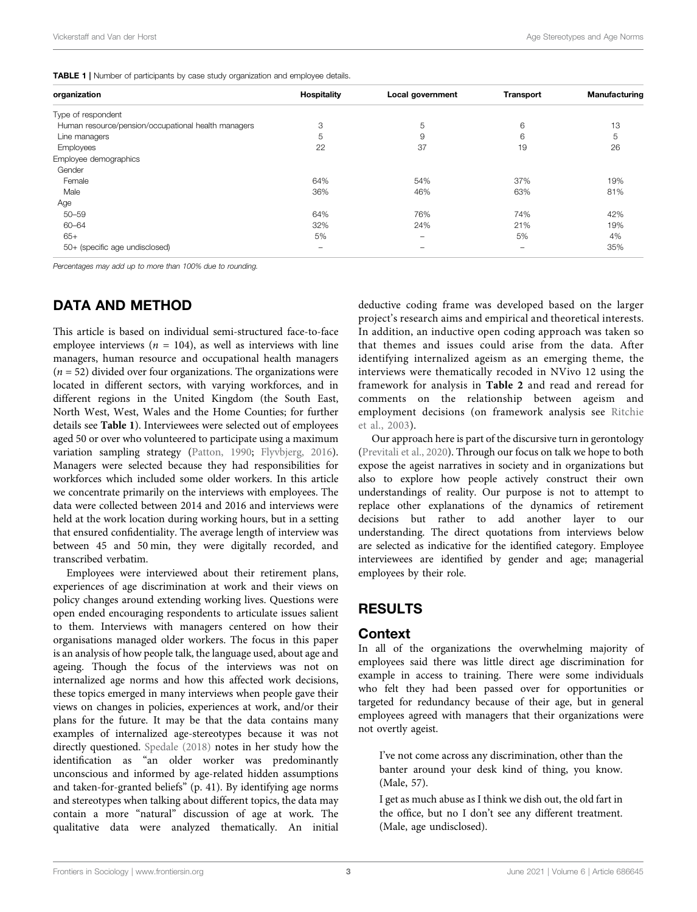**TABLE 1** | Number of participants by case study organization and employee details.

| organization                                        | Hospitality              | Local government | <b>Transport</b>         | Manufacturing |
|-----------------------------------------------------|--------------------------|------------------|--------------------------|---------------|
| Type of respondent                                  |                          |                  |                          |               |
| Human resource/pension/occupational health managers | 3                        | 5                | 6                        | 13            |
| Line managers                                       | 5                        | 9                | 6                        | 5             |
| Employees                                           | 22                       | 37               | 19                       | 26            |
| Employee demographics                               |                          |                  |                          |               |
| Gender                                              |                          |                  |                          |               |
| Female                                              | 64%                      | 54%              | 37%                      | 19%           |
| Male                                                | 36%                      | 46%              | 63%                      | 81%           |
| Age                                                 |                          |                  |                          |               |
| $50 - 59$                                           | 64%                      | 76%              | 74%                      | 42%           |
| 60-64                                               | 32%                      | 24%              | 21%                      | 19%           |
| $65+$                                               | 5%                       | -                | 5%                       | 4%            |
| 50+ (specific age undisclosed)                      | $\overline{\phantom{0}}$ | -                | $\overline{\phantom{a}}$ | 35%           |

Percentages may add up to more than 100% due to rounding.

#### DATA AND METHOD

This article is based on individual semi-structured face-to-face employee interviews ( $n = 104$ ), as well as interviews with line managers, human resource and occupational health managers  $(n = 52)$  divided over four organizations. The organizations were located in different sectors, with varying workforces, and in different regions in the United Kingdom (the South East, North West, West, Wales and the Home Counties; for further details see Table 1). Interviewees were selected out of employees aged 50 or over who volunteered to participate using a maximum variation sampling strategy (Patton, 1990; Flyvbjerg, 2016). Managers were selected because they had responsibilities for workforces which included some older workers. In this article we concentrate primarily on the interviews with employees. The data were collected between 2014 and 2016 and interviews were held at the work location during working hours, but in a setting that ensured confidentiality. The average length of interview was between 45 and 50 min, they were digitally recorded, and transcribed verbatim.

Employees were interviewed about their retirement plans, experiences of age discrimination at work and their views on policy changes around extending working lives. Questions were open ended encouraging respondents to articulate issues salient to them. Interviews with managers centered on how their organisations managed older workers. The focus in this paper is an analysis of how people talk, the language used, about age and ageing. Though the focus of the interviews was not on internalized age norms and how this affected work decisions, these topics emerged in many interviews when people gave their views on changes in policies, experiences at work, and/or their plans for the future. It may be that the data contains many examples of internalized age-stereotypes because it was not directly questioned. Spedale (2018) notes in her study how the identification as "an older worker was predominantly unconscious and informed by age-related hidden assumptions and taken-for-granted beliefs" (p. 41). By identifying age norms and stereotypes when talking about different topics, the data may contain a more "natural" discussion of age at work. The qualitative data were analyzed thematically. An initial

deductive coding frame was developed based on the larger project's research aims and empirical and theoretical interests. In addition, an inductive open coding approach was taken so that themes and issues could arise from the data. After identifying internalized ageism as an emerging theme, the interviews were thematically recoded in NVivo 12 using the framework for analysis in Table 2 and read and reread for comments on the relationship between ageism and employment decisions (on framework analysis see Ritchie et al., 2003).

Our approach here is part of the discursive turn in gerontology (Previtali et al., 2020). Through our focus on talk we hope to both expose the ageist narratives in society and in organizations but also to explore how people actively construct their own understandings of reality. Our purpose is not to attempt to replace other explanations of the dynamics of retirement decisions but rather to add another layer to our understanding. The direct quotations from interviews below are selected as indicative for the identified category. Employee interviewees are identified by gender and age; managerial employees by their role.

#### RESULTS

#### **Context**

In all of the organizations the overwhelming majority of employees said there was little direct age discrimination for example in access to training. There were some individuals who felt they had been passed over for opportunities or targeted for redundancy because of their age, but in general employees agreed with managers that their organizations were not overtly ageist.

I've not come across any discrimination, other than the banter around your desk kind of thing, you know. (Male, 57).

I get as much abuse as I think we dish out, the old fart in the office, but no I don't see any different treatment. (Male, age undisclosed).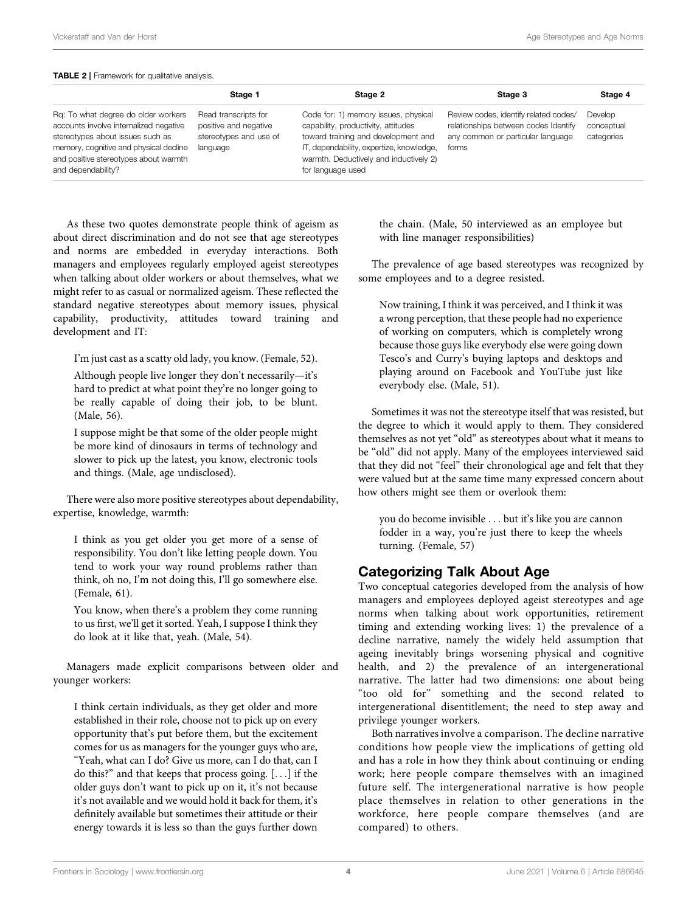#### TABLE 2 | Framework for qualitative analysis.

|                                                                                                                                                                                                                            | Stage 1                                                                             | Stage 2                                                                                                                                                                                                                       | Stage 3                                                                                                                     | Stage 4                             |
|----------------------------------------------------------------------------------------------------------------------------------------------------------------------------------------------------------------------------|-------------------------------------------------------------------------------------|-------------------------------------------------------------------------------------------------------------------------------------------------------------------------------------------------------------------------------|-----------------------------------------------------------------------------------------------------------------------------|-------------------------------------|
| Rg: To what degree do older workers<br>accounts involve internalized negative<br>stereotypes about issues such as<br>memory, cognitive and physical decline<br>and positive stereotypes about warmth<br>and dependability? | Read transcripts for<br>positive and negative<br>stereotypes and use of<br>language | Code for: 1) memory issues, physical<br>capability, productivity, attitudes<br>toward training and development and<br>IT, dependability, expertize, knowledge,<br>warmth. Deductively and inductively 2)<br>for language used | Review codes, identify related codes/<br>relationships between codes Identify<br>any common or particular language<br>forms | Develop<br>conceptual<br>categories |

As these two quotes demonstrate people think of ageism as about direct discrimination and do not see that age stereotypes and norms are embedded in everyday interactions. Both managers and employees regularly employed ageist stereotypes when talking about older workers or about themselves, what we might refer to as casual or normalized ageism. These reflected the standard negative stereotypes about memory issues, physical capability, productivity, attitudes toward training and development and IT:

I'm just cast as a scatty old lady, you know. (Female, 52).

Although people live longer they don't necessarily—it's hard to predict at what point they're no longer going to be really capable of doing their job, to be blunt. (Male, 56).

I suppose might be that some of the older people might be more kind of dinosaurs in terms of technology and slower to pick up the latest, you know, electronic tools and things. (Male, age undisclosed).

There were also more positive stereotypes about dependability, expertise, knowledge, warmth:

I think as you get older you get more of a sense of responsibility. You don't like letting people down. You tend to work your way round problems rather than think, oh no, I'm not doing this, I'll go somewhere else. (Female, 61).

You know, when there's a problem they come running to us first, we'll get it sorted. Yeah, I suppose I think they do look at it like that, yeah. (Male, 54).

Managers made explicit comparisons between older and younger workers:

I think certain individuals, as they get older and more established in their role, choose not to pick up on every opportunity that's put before them, but the excitement comes for us as managers for the younger guys who are, "Yeah, what can I do? Give us more, can I do that, can I do this?" and that keeps that process going. [...] if the older guys don't want to pick up on it, it's not because it's not available and we would hold it back for them, it's definitely available but sometimes their attitude or their energy towards it is less so than the guys further down

the chain. (Male, 50 interviewed as an employee but with line manager responsibilities)

The prevalence of age based stereotypes was recognized by some employees and to a degree resisted.

Now training, I think it was perceived, and I think it was a wrong perception, that these people had no experience of working on computers, which is completely wrong because those guys like everybody else were going down Tesco's and Curry's buying laptops and desktops and playing around on Facebook and YouTube just like everybody else. (Male, 51).

Sometimes it was not the stereotype itself that was resisted, but the degree to which it would apply to them. They considered themselves as not yet "old" as stereotypes about what it means to be "old" did not apply. Many of the employees interviewed said that they did not "feel" their chronological age and felt that they were valued but at the same time many expressed concern about how others might see them or overlook them:

you do become invisible ... but it's like you are cannon fodder in a way, you're just there to keep the wheels turning. (Female, 57)

#### Categorizing Talk About Age

Two conceptual categories developed from the analysis of how managers and employees deployed ageist stereotypes and age norms when talking about work opportunities, retirement timing and extending working lives: 1) the prevalence of a decline narrative, namely the widely held assumption that ageing inevitably brings worsening physical and cognitive health, and 2) the prevalence of an intergenerational narrative. The latter had two dimensions: one about being "too old for" something and the second related to intergenerational disentitlement; the need to step away and privilege younger workers.

Both narratives involve a comparison. The decline narrative conditions how people view the implications of getting old and has a role in how they think about continuing or ending work; here people compare themselves with an imagined future self. The intergenerational narrative is how people place themselves in relation to other generations in the workforce, here people compare themselves (and are compared) to others.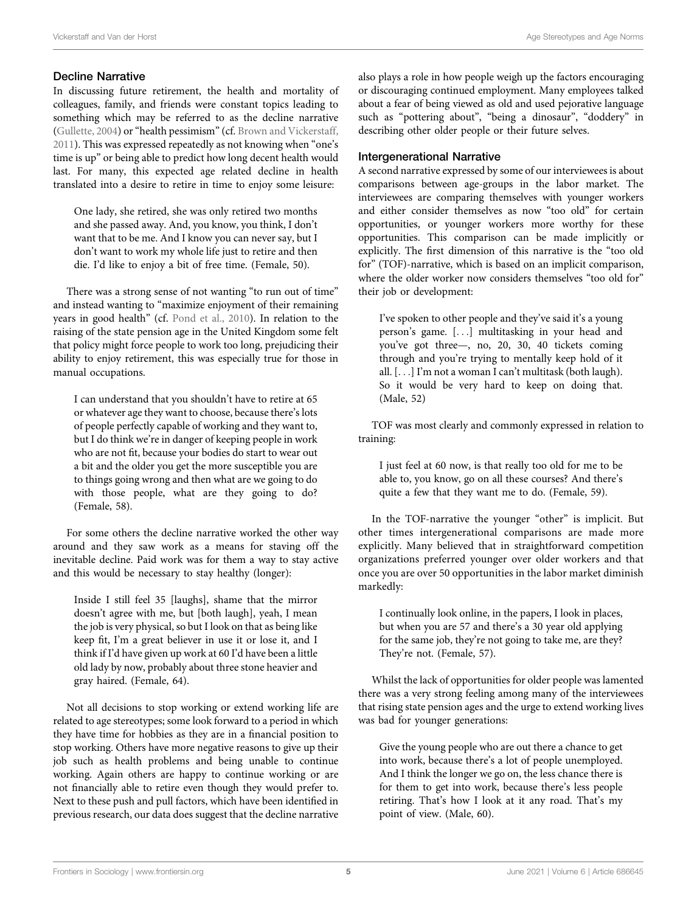#### Decline Narrative

In discussing future retirement, the health and mortality of colleagues, family, and friends were constant topics leading to something which may be referred to as the decline narrative (Gullette, 2004) or"health pessimism"(cf. Brown and Vickerstaff, 2011). This was expressed repeatedly as not knowing when "one's time is up" or being able to predict how long decent health would last. For many, this expected age related decline in health translated into a desire to retire in time to enjoy some leisure:

One lady, she retired, she was only retired two months and she passed away. And, you know, you think, I don't want that to be me. And I know you can never say, but I don't want to work my whole life just to retire and then die. I'd like to enjoy a bit of free time. (Female, 50).

There was a strong sense of not wanting "to run out of time" and instead wanting to "maximize enjoyment of their remaining years in good health" (cf. Pond et al., 2010). In relation to the raising of the state pension age in the United Kingdom some felt that policy might force people to work too long, prejudicing their ability to enjoy retirement, this was especially true for those in manual occupations.

I can understand that you shouldn't have to retire at 65 or whatever age they want to choose, because there's lots of people perfectly capable of working and they want to, but I do think we're in danger of keeping people in work who are not fit, because your bodies do start to wear out a bit and the older you get the more susceptible you are to things going wrong and then what are we going to do with those people, what are they going to do? (Female, 58).

For some others the decline narrative worked the other way around and they saw work as a means for staving off the inevitable decline. Paid work was for them a way to stay active and this would be necessary to stay healthy (longer):

Inside I still feel 35 [laughs], shame that the mirror doesn't agree with me, but [both laugh], yeah, I mean the job is very physical, so but I look on that as being like keep fit, I'm a great believer in use it or lose it, and I think if I'd have given up work at 60 I'd have been a little old lady by now, probably about three stone heavier and gray haired. (Female, 64).

Not all decisions to stop working or extend working life are related to age stereotypes; some look forward to a period in which they have time for hobbies as they are in a financial position to stop working. Others have more negative reasons to give up their job such as health problems and being unable to continue working. Again others are happy to continue working or are not financially able to retire even though they would prefer to. Next to these push and pull factors, which have been identified in previous research, our data does suggest that the decline narrative also plays a role in how people weigh up the factors encouraging or discouraging continued employment. Many employees talked about a fear of being viewed as old and used pejorative language such as "pottering about", "being a dinosaur", "doddery" in describing other older people or their future selves.

#### **Intergenerational Narrative**

A second narrative expressed by some of our interviewees is about comparisons between age-groups in the labor market. The interviewees are comparing themselves with younger workers and either consider themselves as now "too old" for certain opportunities, or younger workers more worthy for these opportunities. This comparison can be made implicitly or explicitly. The first dimension of this narrative is the "too old for" (TOF)-narrative, which is based on an implicit comparison, where the older worker now considers themselves "too old for" their job or development:

I've spoken to other people and they've said it's a young person's game. [...] multitasking in your head and you've got three—, no, 20, 30, 40 tickets coming through and you're trying to mentally keep hold of it all. [...] I'm not a woman I can't multitask (both laugh). So it would be very hard to keep on doing that. (Male, 52)

TOF was most clearly and commonly expressed in relation to training:

I just feel at 60 now, is that really too old for me to be able to, you know, go on all these courses? And there's quite a few that they want me to do. (Female, 59).

In the TOF-narrative the younger "other" is implicit. But other times intergenerational comparisons are made more explicitly. Many believed that in straightforward competition organizations preferred younger over older workers and that once you are over 50 opportunities in the labor market diminish markedly:

I continually look online, in the papers, I look in places, but when you are 57 and there's a 30 year old applying for the same job, they're not going to take me, are they? They're not. (Female, 57).

Whilst the lack of opportunities for older people was lamented there was a very strong feeling among many of the interviewees that rising state pension ages and the urge to extend working lives was bad for younger generations:

Give the young people who are out there a chance to get into work, because there's a lot of people unemployed. And I think the longer we go on, the less chance there is for them to get into work, because there's less people retiring. That's how I look at it any road. That's my point of view. (Male, 60).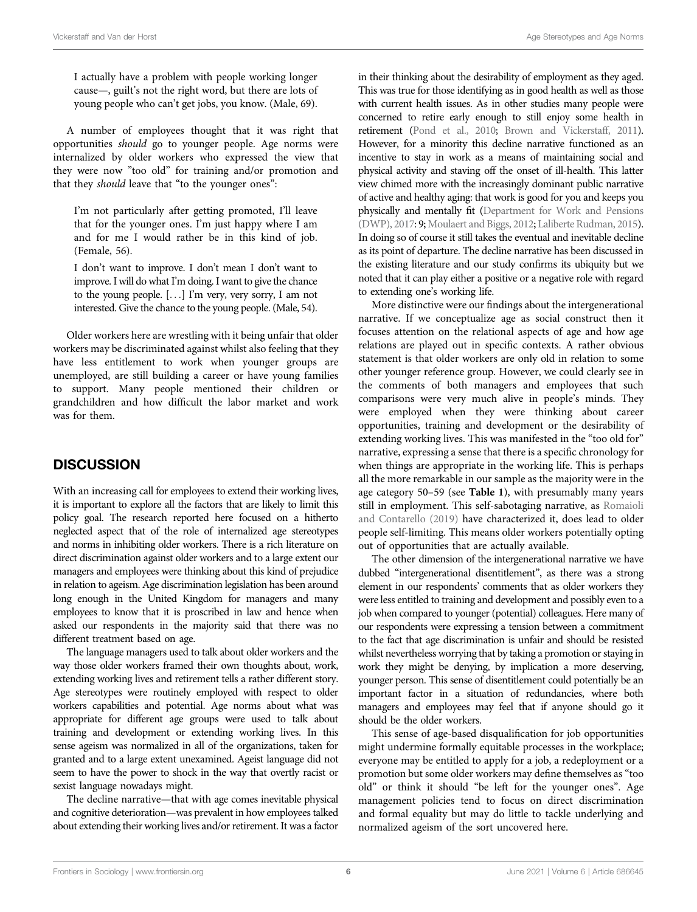I actually have a problem with people working longer cause—, guilt's not the right word, but there are lots of young people who can't get jobs, you know. (Male, 69).

A number of employees thought that it was right that opportunities should go to younger people. Age norms were internalized by older workers who expressed the view that they were now "too old" for training and/or promotion and that they should leave that "to the younger ones":

I'm not particularly after getting promoted, I'll leave that for the younger ones. I'm just happy where I am and for me I would rather be in this kind of job. (Female, 56).

I don't want to improve. I don't mean I don't want to improve. I will do what I'm doing. I want to give the chance to the young people. [...] I'm very, very sorry, I am not interested. Give the chance to the young people. (Male, 54).

Older workers here are wrestling with it being unfair that older workers may be discriminated against whilst also feeling that they have less entitlement to work when younger groups are unemployed, are still building a career or have young families to support. Many people mentioned their children or grandchildren and how difficult the labor market and work was for them.

## **DISCUSSION**

With an increasing call for employees to extend their working lives, it is important to explore all the factors that are likely to limit this policy goal. The research reported here focused on a hitherto neglected aspect that of the role of internalized age stereotypes and norms in inhibiting older workers. There is a rich literature on direct discrimination against older workers and to a large extent our managers and employees were thinking about this kind of prejudice in relation to ageism. Age discrimination legislation has been around long enough in the United Kingdom for managers and many employees to know that it is proscribed in law and hence when asked our respondents in the majority said that there was no different treatment based on age.

The language managers used to talk about older workers and the way those older workers framed their own thoughts about, work, extending working lives and retirement tells a rather different story. Age stereotypes were routinely employed with respect to older workers capabilities and potential. Age norms about what was appropriate for different age groups were used to talk about training and development or extending working lives. In this sense ageism was normalized in all of the organizations, taken for granted and to a large extent unexamined. Ageist language did not seem to have the power to shock in the way that overtly racist or sexist language nowadays might.

The decline narrative—that with age comes inevitable physical and cognitive deterioration—was prevalent in how employees talked about extending their working lives and/or retirement. It was a factor in their thinking about the desirability of employment as they aged. This was true for those identifying as in good health as well as those with current health issues. As in other studies many people were concerned to retire early enough to still enjoy some health in retirement (Pond et al., 2010; Brown and Vickerstaff, 2011). However, for a minority this decline narrative functioned as an incentive to stay in work as a means of maintaining social and physical activity and staving off the onset of ill-health. This latter view chimed more with the increasingly dominant public narrative of active and healthy aging: that work is good for you and keeps you physically and mentally fit (Department for Work and Pensions (DWP), 2017: 9; Moulaert and Biggs, 2012; Laliberte Rudman, 2015). In doing so of course it still takes the eventual and inevitable decline as its point of departure. The decline narrative has been discussed in the existing literature and our study confirms its ubiquity but we noted that it can play either a positive or a negative role with regard to extending one's working life.

More distinctive were our findings about the intergenerational narrative. If we conceptualize age as social construct then it focuses attention on the relational aspects of age and how age relations are played out in specific contexts. A rather obvious statement is that older workers are only old in relation to some other younger reference group. However, we could clearly see in the comments of both managers and employees that such comparisons were very much alive in people's minds. They were employed when they were thinking about career opportunities, training and development or the desirability of extending working lives. This was manifested in the "too old for" narrative, expressing a sense that there is a specific chronology for when things are appropriate in the working life. This is perhaps all the more remarkable in our sample as the majority were in the age category 50–59 (see Table 1), with presumably many years still in employment. This self-sabotaging narrative, as Romaioli and Contarello (2019) have characterized it, does lead to older people self-limiting. This means older workers potentially opting out of opportunities that are actually available.

The other dimension of the intergenerational narrative we have dubbed "intergenerational disentitlement", as there was a strong element in our respondents' comments that as older workers they were less entitled to training and development and possibly even to a job when compared to younger (potential) colleagues. Here many of our respondents were expressing a tension between a commitment to the fact that age discrimination is unfair and should be resisted whilst nevertheless worrying that by taking a promotion or staying in work they might be denying, by implication a more deserving, younger person. This sense of disentitlement could potentially be an important factor in a situation of redundancies, where both managers and employees may feel that if anyone should go it should be the older workers.

This sense of age-based disqualification for job opportunities might undermine formally equitable processes in the workplace; everyone may be entitled to apply for a job, a redeployment or a promotion but some older workers may define themselves as "too old" or think it should "be left for the younger ones". Age management policies tend to focus on direct discrimination and formal equality but may do little to tackle underlying and normalized ageism of the sort uncovered here.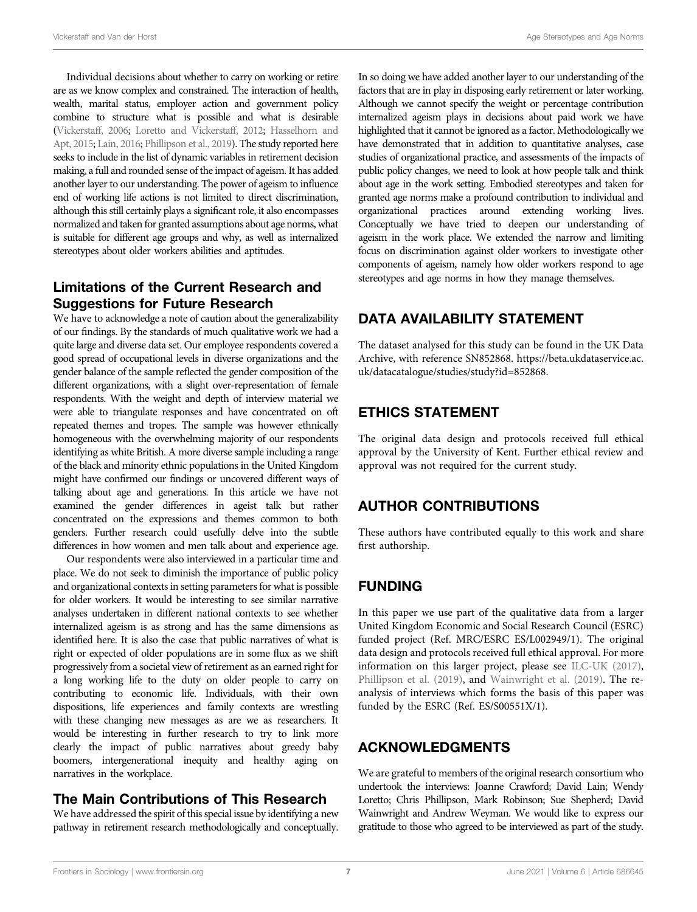Individual decisions about whether to carry on working or retire are as we know complex and constrained. The interaction of health, wealth, marital status, employer action and government policy combine to structure what is possible and what is desirable (Vickerstaff, 2006; Loretto and Vickerstaff, 2012; Hasselhorn and Apt, 2015; Lain, 2016; Phillipson et al., 2019). The study reported here seeks to include in the list of dynamic variables in retirement decision making, a full and rounded sense of the impact of ageism. It has added another layer to our understanding. The power of ageism to influence end of working life actions is not limited to direct discrimination, although this still certainly plays a significant role, it also encompasses normalized and taken for granted assumptions about age norms, what is suitable for different age groups and why, as well as internalized stereotypes about older workers abilities and aptitudes.

## Limitations of the Current Research and Suggestions for Future Research

We have to acknowledge a note of caution about the generalizability of our findings. By the standards of much qualitative work we had a quite large and diverse data set. Our employee respondents covered a good spread of occupational levels in diverse organizations and the gender balance of the sample reflected the gender composition of the different organizations, with a slight over-representation of female respondents. With the weight and depth of interview material we were able to triangulate responses and have concentrated on oft repeated themes and tropes. The sample was however ethnically homogeneous with the overwhelming majority of our respondents identifying as white British. A more diverse sample including a range of the black and minority ethnic populations in the United Kingdom might have confirmed our findings or uncovered different ways of talking about age and generations. In this article we have not examined the gender differences in ageist talk but rather concentrated on the expressions and themes common to both genders. Further research could usefully delve into the subtle differences in how women and men talk about and experience age.

Our respondents were also interviewed in a particular time and place. We do not seek to diminish the importance of public policy and organizational contexts in setting parameters for what is possible for older workers. It would be interesting to see similar narrative analyses undertaken in different national contexts to see whether internalized ageism is as strong and has the same dimensions as identified here. It is also the case that public narratives of what is right or expected of older populations are in some flux as we shift progressively from a societal view of retirement as an earned right for a long working life to the duty on older people to carry on contributing to economic life. Individuals, with their own dispositions, life experiences and family contexts are wrestling with these changing new messages as are we as researchers. It would be interesting in further research to try to link more clearly the impact of public narratives about greedy baby boomers, intergenerational inequity and healthy aging on narratives in the workplace.

#### The Main Contributions of This Research

We have addressed the spirit of this special issue by identifying a new pathway in retirement research methodologically and conceptually.

In so doing we have added another layer to our understanding of the factors that are in play in disposing early retirement or later working. Although we cannot specify the weight or percentage contribution internalized ageism plays in decisions about paid work we have highlighted that it cannot be ignored as a factor. Methodologically we have demonstrated that in addition to quantitative analyses, case studies of organizational practice, and assessments of the impacts of public policy changes, we need to look at how people talk and think about age in the work setting. Embodied stereotypes and taken for granted age norms make a profound contribution to individual and organizational practices around extending working lives. Conceptually we have tried to deepen our understanding of ageism in the work place. We extended the narrow and limiting focus on discrimination against older workers to investigate other components of ageism, namely how older workers respond to age stereotypes and age norms in how they manage themselves.

# DATA AVAILABILITY STATEMENT

The dataset analysed for this study can be found in the UK Data Archive, with reference SN852868. [https://beta.ukdataservice.ac.](https://beta.ukdataservice.ac.uk/datacatalogue/studies/study?id=852868) [uk/datacatalogue/studies/study?id](https://beta.ukdataservice.ac.uk/datacatalogue/studies/study?id=852868)=[852868](https://beta.ukdataservice.ac.uk/datacatalogue/studies/study?id=852868).

# ETHICS STATEMENT

The original data design and protocols received full ethical approval by the University of Kent. Further ethical review and approval was not required for the current study.

## AUTHOR CONTRIBUTIONS

These authors have contributed equally to this work and share first authorship.

# FUNDING

In this paper we use part of the qualitative data from a larger United Kingdom Economic and Social Research Council (ESRC) funded project (Ref. MRC/ESRC ES/L002949/1). The original data design and protocols received full ethical approval. For more information on this larger project, please see ILC-UK (2017), Phillipson et al. (2019), and Wainwright et al. (2019). The reanalysis of interviews which forms the basis of this paper was funded by the ESRC (Ref. ES/S00551X/1).

## ACKNOWLEDGMENTS

We are grateful to members of the original research consortium who undertook the interviews: Joanne Crawford; David Lain; Wendy Loretto; Chris Phillipson, Mark Robinson; Sue Shepherd; David Wainwright and Andrew Weyman. We would like to express our gratitude to those who agreed to be interviewed as part of the study.